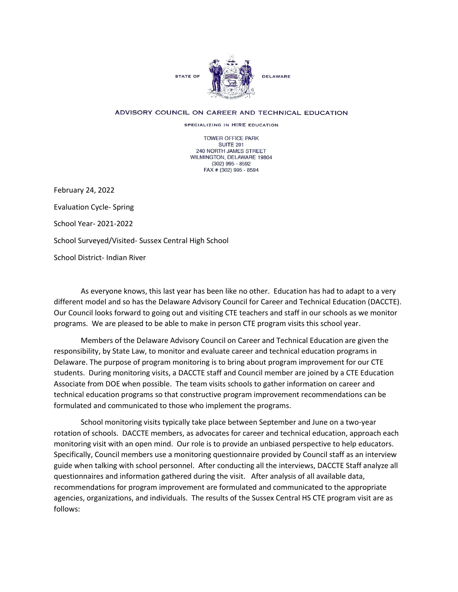

## ADVISORY COUNCIL ON CAREER AND TECHNICAL EDUCATION

SPECIALIZING IN HIRE EDUCATION

TOWER OFFICE PARK SUITE 201 240 NORTH JAMES STREET WILMINGTON, DELAWARE 19804 (302) 995 - 8592 FAX # (302) 995 - 8594

February 24, 2022 Evaluation Cycle- Spring School Year- 2021-2022 School Surveyed/Visited- Sussex Central High School School District- Indian River

As everyone knows, this last year has been like no other. Education has had to adapt to a very different model and so has the Delaware Advisory Council for Career and Technical Education (DACCTE). Our Council looks forward to going out and visiting CTE teachers and staff in our schools as we monitor programs. We are pleased to be able to make in person CTE program visits this school year.

Members of the Delaware Advisory Council on Career and Technical Education are given the responsibility, by State Law, to monitor and evaluate career and technical education programs in Delaware. The purpose of program monitoring is to bring about program improvement for our CTE students. During monitoring visits, a DACCTE staff and Council member are joined by a CTE Education Associate from DOE when possible. The team visits schools to gather information on career and technical education programs so that constructive program improvement recommendations can be formulated and communicated to those who implement the programs.

School monitoring visits typically take place between September and June on a two-year rotation of schools. DACCTE members, as advocates for career and technical education, approach each monitoring visit with an open mind. Our role is to provide an unbiased perspective to help educators. Specifically, Council members use a monitoring questionnaire provided by Council staff as an interview guide when talking with school personnel. After conducting all the interviews, DACCTE Staff analyze all questionnaires and information gathered during the visit. After analysis of all available data, recommendations for program improvement are formulated and communicated to the appropriate agencies, organizations, and individuals. The results of the Sussex Central HS CTE program visit are as follows: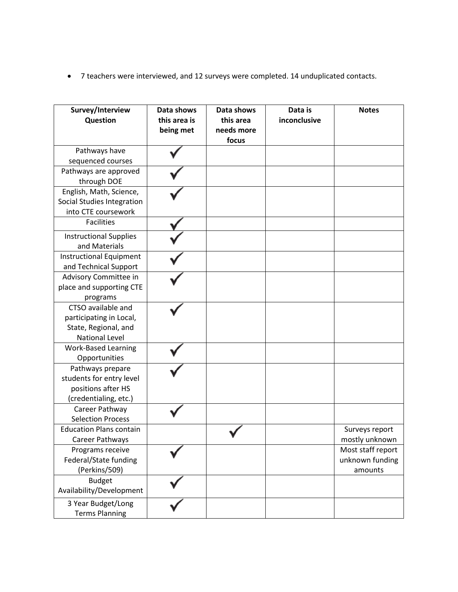• 7 teachers were interviewed, and 12 surveys were completed. 14 unduplicated contacts.

| Survey/Interview<br>Question                                                                   | Data shows<br>this area is<br>being met | Data shows<br>this area<br>needs more<br>focus | Data is<br>inconclusive | <b>Notes</b>                                    |
|------------------------------------------------------------------------------------------------|-----------------------------------------|------------------------------------------------|-------------------------|-------------------------------------------------|
| Pathways have                                                                                  |                                         |                                                |                         |                                                 |
| sequenced courses                                                                              |                                         |                                                |                         |                                                 |
| Pathways are approved<br>through DOE                                                           |                                         |                                                |                         |                                                 |
| English, Math, Science,<br>Social Studies Integration<br>into CTE coursework                   |                                         |                                                |                         |                                                 |
| <b>Facilities</b>                                                                              |                                         |                                                |                         |                                                 |
| <b>Instructional Supplies</b><br>and Materials                                                 |                                         |                                                |                         |                                                 |
| <b>Instructional Equipment</b><br>and Technical Support                                        |                                         |                                                |                         |                                                 |
| Advisory Committee in<br>place and supporting CTE<br>programs                                  |                                         |                                                |                         |                                                 |
| CTSO available and<br>participating in Local,<br>State, Regional, and<br><b>National Level</b> |                                         |                                                |                         |                                                 |
| <b>Work-Based Learning</b><br>Opportunities                                                    |                                         |                                                |                         |                                                 |
| Pathways prepare<br>students for entry level<br>positions after HS<br>(credentialing, etc.)    |                                         |                                                |                         |                                                 |
| Career Pathway<br><b>Selection Process</b>                                                     |                                         |                                                |                         |                                                 |
| <b>Education Plans contain</b><br>Career Pathways                                              |                                         |                                                |                         | Surveys report<br>mostly unknown                |
| Programs receive<br>Federal/State funding<br>(Perkins/509)                                     |                                         |                                                |                         | Most staff report<br>unknown funding<br>amounts |
| <b>Budget</b><br>Availability/Development                                                      |                                         |                                                |                         |                                                 |
| 3 Year Budget/Long<br><b>Terms Planning</b>                                                    |                                         |                                                |                         |                                                 |